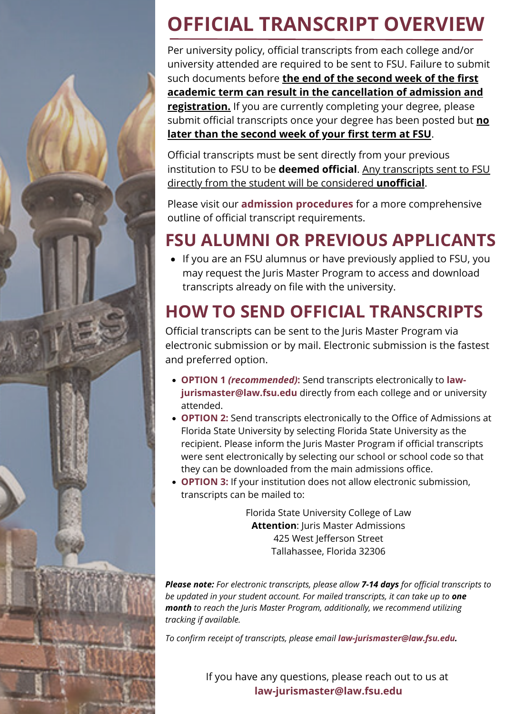

## **OFFICIAL TRANSCRIPT OVERVIEW**

Per university policy, official transcripts from each college and/or university attended are required to be sent to FSU. Failure to submit such documents before **the end of the second week of the first academic term can result in the cancellation of admission and registration.** If you are currently completing your degree, please submit official transcripts once your degree has been posted but **no later than the second week of your first term at FSU**.

Official transcripts must be sent directly from your previous institution to FSU to be **deemed official**. Any transcripts sent to FSU directly from the student will be considered **unofficial**.

Please visit our **[admission procedures](https://law.fsu.edu/admissions-financial-aid/admissions/juris-master-procedures)** for a more comprehensive outline of official transcript requirements.

## **FSU ALUMNI OR PREVIOUS APPLICANTS**

If you are an FSU alumnus or have previously applied to FSU, you may request the Juris Master Program to access and download transcripts already on file with the university.

## **HOW TO SEND OFFICIAL TRANSCRIPTS**

Official transcripts can be sent to the Juris Master Program via electronic submission or by mail. Electronic submission is the fastest and preferred option.

- **OPTION 1** *(recommended)***:** Send transcripts electronically to **law[jurismaster@law.fsu.edu](mailto:law-jurismaster@law.fsu.edu)** directly from each college and or university attended.
- **OPTION 2:** Send transcripts electronically to the Office of Admissions at Florida State University by selecting Florida State University as the recipient. Please inform the Juris Master Program if official transcripts were sent electronically by selecting our school or school code so that they can be downloaded from the main admissions office.
- **OPTION 3:** If your institution does not allow electronic submission, transcripts can be mailed to:

Florida State University College of Law **Attention: Juris Master Admissions** 425 West Jefferson Street Tallahassee, Florida 32306

*Please note: For electronic transcripts, please allow 7-14 days for official transcripts to be updated in your student account. For mailed transcripts, it can take up to one month to reach the Juris Master Program, additionally, we recommend utilizing tracking if available.*

*To confirm receipt of transcripts, please email [law-jurismaster@law.fsu.edu.](mailto:law-jurismaster@law.fsu.edu)*

If you have any questions, please reach out to us at **[law-jurismaster@law.fsu.edu](mailto:law-jurismaster@law.fsu.edu)**